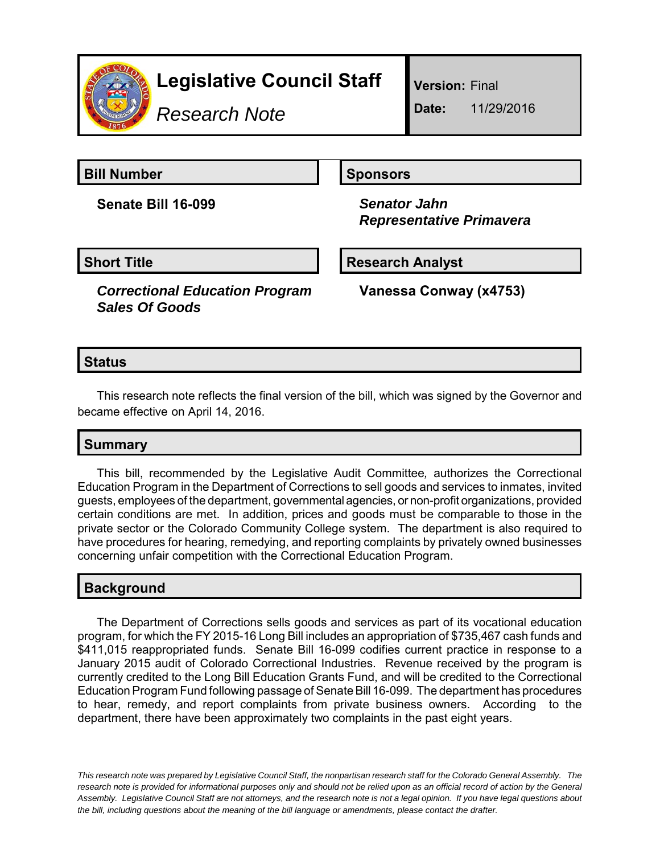

# **Legislative Council Staff**

*Research Note*

**Version:** Final

**Date:** 11/29/2016

**Bill Number Sponsors** 

**Senate Bill 16-099** *Senator Jahn*

 *Representative Primavera*

#### **Short Title Community Community Community Research Analyst**

*Correctional Education Program Sales Of Goods*

**Vanessa Conway (x4753)**

#### **Status**

This research note reflects the final version of the bill, which was signed by the Governor and became effective on April 14, 2016.

## **Summary**

This bill, recommended by the Legislative Audit Committee*,* authorizes the Correctional Education Program in the Department of Corrections to sell goods and services to inmates, invited guests, employees of the department, governmental agencies, or non-profit organizations, provided certain conditions are met. In addition, prices and goods must be comparable to those in the private sector or the Colorado Community College system. The department is also required to have procedures for hearing, remedying, and reporting complaints by privately owned businesses concerning unfair competition with the Correctional Education Program.

## **Background**

The Department of Corrections sells goods and services as part of its vocational education program, for which the FY 2015-16 Long Bill includes an appropriation of \$735,467 cash funds and \$411,015 reappropriated funds. Senate Bill 16-099 codifies current practice in response to a January 2015 audit of Colorado Correctional Industries. Revenue received by the program is currently credited to the Long Bill Education Grants Fund, and will be credited to the Correctional Education Program Fund following passage of Senate Bill 16-099. The department has procedures to hear, remedy, and report complaints from private business owners. According to the department, there have been approximately two complaints in the past eight years.

*This research note was prepared by Legislative Council Staff, the nonpartisan research staff for the Colorado General Assembly. The research note is provided for informational purposes only and should not be relied upon as an official record of action by the General Assembly. Legislative Council Staff are not attorneys, and the research note is not a legal opinion. If you have legal questions about the bill, including questions about the meaning of the bill language or amendments, please contact the drafter.*